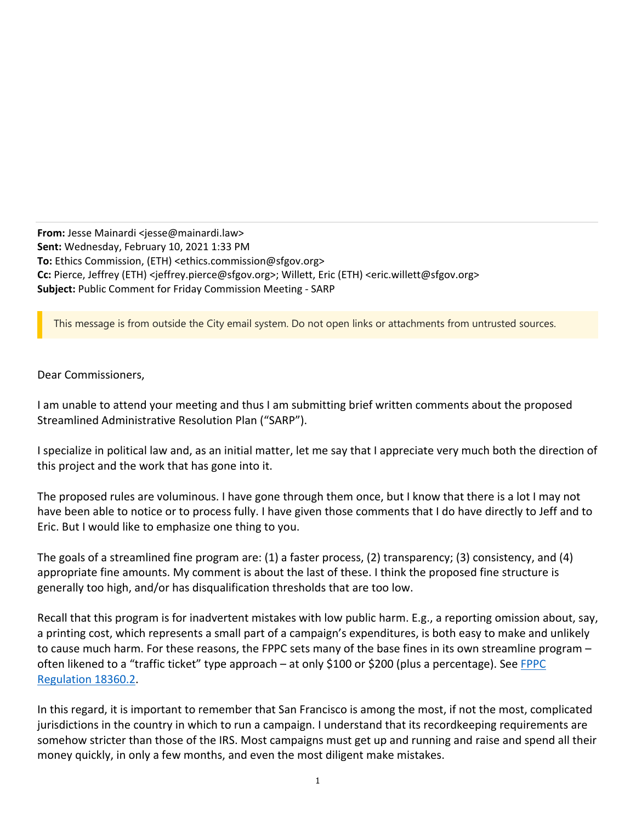**From:** Jesse Mainardi <jesse@mainardi.law> **Sent:** Wednesday, February 10, 2021 1:33 PM **To:** Ethics Commission, (ETH) <ethics.commission@sfgov.org> **Cc:** Pierce, Jeffrey (ETH) <jeffrey.pierce@sfgov.org>; Willett, Eric (ETH) <eric.willett@sfgov.org> **Subject:** Public Comment for Friday Commission Meeting ‐ SARP

This message is from outside the City email system. Do not open links or attachments from untrusted sources.

Dear Commissioners,

I am unable to attend your meeting and thus I am submitting brief written comments about the proposed Streamlined Administrative Resolution Plan ("SARP").

I specialize in political law and, as an initial matter, let me say that I appreciate very much both the direction of this project and the work that has gone into it.

The proposed rules are voluminous. I have gone through them once, but I know that there is a lot I may not have been able to notice or to process fully. I have given those comments that I do have directly to Jeff and to Eric. But I would like to emphasize one thing to you.

The goals of a streamlined fine program are: (1) a faster process, (2) transparency; (3) consistency, and (4) appropriate fine amounts. My comment is about the last of these. I think the proposed fine structure is generally too high, and/or has disqualification thresholds that are too low.

Recall that this program is for inadvertent mistakes with low public harm. E.g., a reporting omission about, say, a printing cost, which represents a small part of a campaign's expenditures, is both easy to make and unlikely to cause much harm. For these reasons, the FPPC sets many of the base fines in its own streamline program – often likened to a "traffic ticket" type approach – at only \$100 or \$200 (plus a percentage). See FPPC Regulation 18360.2.

In this regard, it is important to remember that San Francisco is among the most, if not the most, complicated jurisdictions in the country in which to run a campaign. I understand that its recordkeeping requirements are somehow stricter than those of the IRS. Most campaigns must get up and running and raise and spend all their money quickly, in only a few months, and even the most diligent make mistakes.